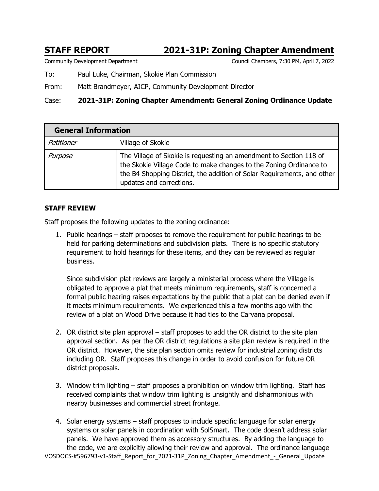# **STAFF REPORT 2021-31P: Zoning Chapter Amendment**

Community Development Department Council Chambers, 7:30 PM, April 7, 2022

To: Paul Luke, Chairman, Skokie Plan Commission

From: Matt Brandmeyer, AICP, Community Development Director

# Case: **2021-31P: Zoning Chapter Amendment: General Zoning Ordinance Update**

| <b>General Information</b> |                                                                                                                                                                                                                                                 |
|----------------------------|-------------------------------------------------------------------------------------------------------------------------------------------------------------------------------------------------------------------------------------------------|
| Petitioner                 | Village of Skokie                                                                                                                                                                                                                               |
| Purpose                    | The Village of Skokie is requesting an amendment to Section 118 of<br>the Skokie Village Code to make changes to the Zoning Ordinance to<br>the B4 Shopping District, the addition of Solar Requirements, and other<br>updates and corrections. |

# **STAFF REVIEW**

Staff proposes the following updates to the zoning ordinance:

1. Public hearings – staff proposes to remove the requirement for public hearings to be held for parking determinations and subdivision plats. There is no specific statutory requirement to hold hearings for these items, and they can be reviewed as regular business.

Since subdivision plat reviews are largely a ministerial process where the Village is obligated to approve a plat that meets minimum requirements, staff is concerned a formal public hearing raises expectations by the public that a plat can be denied even if it meets minimum requirements. We experienced this a few months ago with the review of a plat on Wood Drive because it had ties to the Carvana proposal.

- 2. OR district site plan approval staff proposes to add the OR district to the site plan approval section. As per the OR district regulations a site plan review is required in the OR district. However, the site plan section omits review for industrial zoning districts including OR. Staff proposes this change in order to avoid confusion for future OR district proposals.
- 3. Window trim lighting staff proposes a prohibition on window trim lighting. Staff has received complaints that window trim lighting is unsightly and disharmonious with nearby businesses and commercial street frontage.
- VOSDOCS-#596793-v1-Staff\_Report\_for\_2021-31P\_Zoning\_Chapter\_Amendment\_-\_General\_Update 4. Solar energy systems – staff proposes to include specific language for solar energy systems or solar panels in coordination with SolSmart. The code doesn't address solar panels. We have approved them as accessory structures. By adding the language to the code, we are explicitly allowing their review and approval. The ordinance language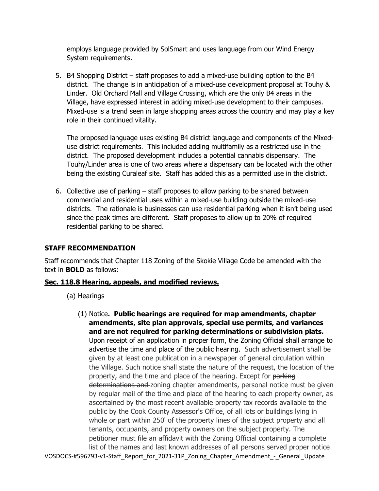employs language provided by SolSmart and uses language from our Wind Energy System requirements.

5. B4 Shopping District – staff proposes to add a mixed-use building option to the B4 district. The change is in anticipation of a mixed-use development proposal at Touhy & Linder. Old Orchard Mall and Village Crossing, which are the only B4 areas in the Village, have expressed interest in adding mixed-use development to their campuses. Mixed-use is a trend seen in large shopping areas across the country and may play a key role in their continued vitality.

The proposed language uses existing B4 district language and components of the Mixeduse district requirements. This included adding multifamily as a restricted use in the district. The proposed development includes a potential cannabis dispensary. The Touhy/Linder area is one of two areas where a dispensary can be located with the other being the existing Curaleaf site. Staff has added this as a permitted use in the district.

6. Collective use of parking – staff proposes to allow parking to be shared between commercial and residential uses within a mixed-use building outside the mixed-use districts. The rationale is businesses can use residential parking when it isn't being used since the peak times are different. Staff proposes to allow up to 20% of required residential parking to be shared.

# **STAFF RECOMMENDATION**

Staff recommends that Chapter 118 Zoning of the Skokie Village Code be amended with the text in **BOLD** as follows:

# **Sec. 118.8 Hearing, appeals, and modified reviews.**

- (a) Hearings
- VOSDOCS-#596793-v1-Staff\_Report\_for\_2021-31P\_Zoning\_Chapter\_Amendment\_-\_General\_Update (1) Notice**. Public hearings are required for map amendments, chapter amendments, site plan approvals, special use permits, and variances and are not required for parking determinations or subdivision plats.** Upon receipt of an application in proper form, the Zoning Official shall arrange to advertise the time and place of the public hearing. Such advertisement shall be given by at least one publication in a newspaper of general circulation within the Village. Such notice shall state the nature of the request, the location of the property, and the time and place of the hearing. Except for parking determinations and zoning chapter amendments, personal notice must be given by regular mail of the time and place of the hearing to each property owner, as ascertained by the most recent available property tax records available to the public by the Cook County Assessor's Office, of all lots or buildings lying in whole or part within 250' of the property lines of the subject property and all tenants, occupants, and property owners on the subject property. The petitioner must file an affidavit with the Zoning Official containing a complete list of the names and last known addresses of all persons served proper notice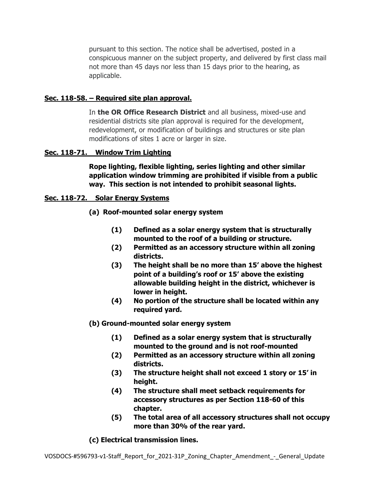pursuant to this section. The notice shall be advertised, posted in a conspicuous manner on the subject property, and delivered by first class mail not more than 45 days nor less than 15 days prior to the hearing, as applicable.

## **Sec. 118-58. – Required site plan approval.**

In **the OR Office Research District** and all business, mixed-use and residential districts site plan approval is required for the development, redevelopment, or modification of buildings and structures or site plan modifications of sites 1 acre or larger in size.

# **Sec. 118-71. Window Trim Lighting**

**Rope lighting, flexible lighting, series lighting and other similar application window trimming are prohibited if visible from a public way. This section is not intended to prohibit seasonal lights.**

#### **Sec. 118-72. Solar Energy Systems**

**(a) Roof-mounted solar energy system** 

- **(1) Defined as a solar energy system that is structurally mounted to the roof of a building or structure.**
- **(2) Permitted as an accessory structure within all zoning districts.**
- **(3) The height shall be no more than 15' above the highest point of a building's roof or 15' above the existing allowable building height in the district, whichever is lower in height.**
- **(4) No portion of the structure shall be located within any required yard.**

#### **(b) Ground-mounted solar energy system**

- **(1) Defined as a solar energy system that is structurally mounted to the ground and is not roof-mounted**
- **(2) Permitted as an accessory structure within all zoning districts.**
- **(3) The structure height shall not exceed 1 story or 15' in height.**
- **(4) The structure shall meet setback requirements for accessory structures as per Section 118-60 of this chapter.**
- **(5) The total area of all accessory structures shall not occupy more than 30% of the rear yard.**

**(c) Electrical transmission lines.**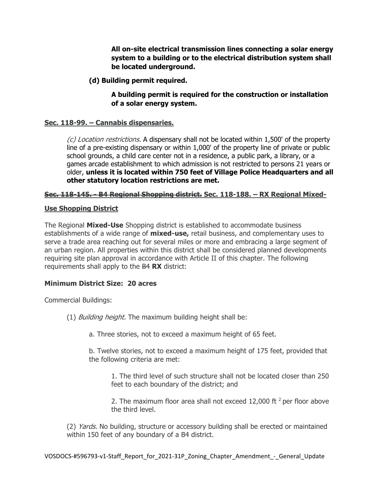**All on-site electrical transmission lines connecting a solar energy system to a building or to the electrical distribution system shall be located underground.** 

**(d) Building permit required.** 

**A building permit is required for the construction or installation of a solar energy system.** 

# **Sec. 118-99. – Cannabis dispensaries.**

(c) Location restrictions. A dispensary shall not be located within 1,500' of the property line of a pre-existing dispensary or within 1,000' of the property line of private or public school grounds, a child care center not in a residence, a public park, a library, or a games arcade establishment to which admission is not restricted to persons 21 years or older, **unless it is located within 750 feet of Village Police Headquarters and all other statutory location restrictions are met.** 

# **Sec. 118-145. - B4 Regional Shopping district. Sec. 118-188. – RX Regional Mixed-**

# **Use Shopping District**

The Regional **Mixed-Use** Shopping district is established to accommodate business establishments of a wide range of **mixed-use,** retail business, and complementary uses to serve a trade area reaching out for several miles or more and embracing a large segment of an urban region. All properties within this district shall be considered planned developments requiring site plan approval in accordance with Article II of this chapter. The following requirements shall apply to the B4 **RX** district:

# **Minimum District Size: 20 acres**

Commercial Buildings:

- (1) Building height. The maximum building height shall be:
	- a. Three stories, not to exceed a maximum height of 65 feet.

b. Twelve stories, not to exceed a maximum height of 175 feet, provided that the following criteria are met:

1. The third level of such structure shall not be located closer than 250 feet to each boundary of the district; and

2. The maximum floor area shall not exceed 12,000 ft  $2$  per floor above the third level.

(2) *Yards*. No building, structure or accessory building shall be erected or maintained within 150 feet of any boundary of a B4 district.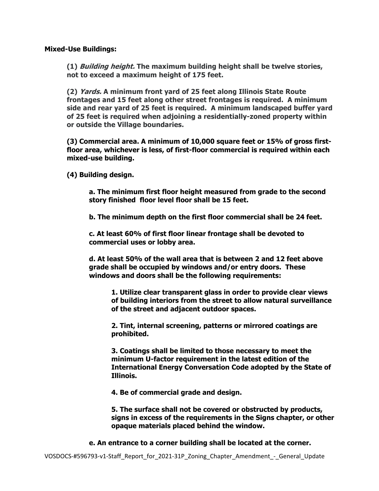**Mixed-Use Buildings:** 

**(1) Building height. The maximum building height shall be twelve stories, not to exceed a maximum height of 175 feet.** 

**(2) Yards. A minimum front yard of 25 feet along Illinois State Route frontages and 15 feet along other street frontages is required. A minimum side and rear yard of 25 feet is required. A minimum landscaped buffer yard of 25 feet is required when adjoining a residentially-zoned property within or outside the Village boundaries.** 

**(3) Commercial area. A minimum of 10,000 square feet or 15% of gross firstfloor area, whichever is less, of first-floor commercial is required within each mixed-use building.** 

**(4) Building design.** 

**a. The minimum first floor height measured from grade to the second story finished floor level floor shall be 15 feet.** 

**b. The minimum depth on the first floor commercial shall be 24 feet.** 

**c. At least 60% of first floor linear frontage shall be devoted to commercial uses or lobby area.** 

**d. At least 50% of the wall area that is between 2 and 12 feet above grade shall be occupied by windows and/or entry doors. These windows and doors shall be the following requirements:** 

**1. Utilize clear transparent glass in order to provide clear views of building interiors from the street to allow natural surveillance of the street and adjacent outdoor spaces.** 

**2. Tint, internal screening, patterns or mirrored coatings are prohibited.** 

**3. Coatings shall be limited to those necessary to meet the minimum U-factor requirement in the latest edition of the International Energy Conversation Code adopted by the State of Illinois.** 

 **4. Be of commercial grade and design.** 

**5. The surface shall not be covered or obstructed by products, signs in excess of the requirements in the Signs chapter, or other opaque materials placed behind the window.** 

**e. An entrance to a corner building shall be located at the corner.**